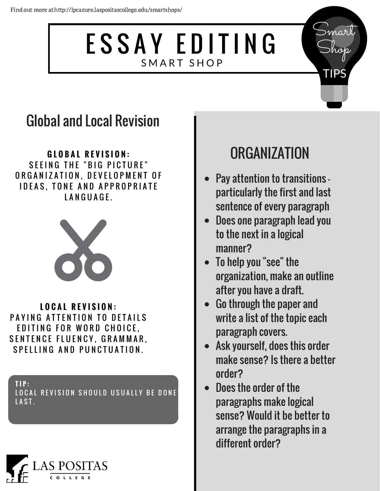## ESSAY EDITING SMART SHOP

#### Global and Local Revision

**G L O B A L R E V I S I O N :** SEEING THE "BIG PICTURE" ORGANIZATION, DEVELOPMENT OF **IDEAS, TONE AND APPROPRIATE** LANGUAGE.



**L O C A L R E V I S I O N :** PAYING ATTENTION TO DETAILS EDITING FOR WORD CHOICE, SENTENCE FLUENCY, GRAMMAR, SPELLING AND PUNCTUATION.

**T I P :** LOCAL REVISION SHOULD USUALLY BE DONE LAST.



### **ORGANIZATION**

Smart

Shop

TIPS

- Pay attention to transitions particularly the first and last sentence of every paragraph
- Does one paragraph lead you to the next in a logical manner?
- To help you "see" the organization, make an outline after you have a draft.
- Go through the paper and write a list of the topic each paragraph covers.
- Ask yourself, does this order make sense? Is there a better order?
- Does the order of the paragraphs make logical sense? Would it be better to arrange the paragraphs in a different order?